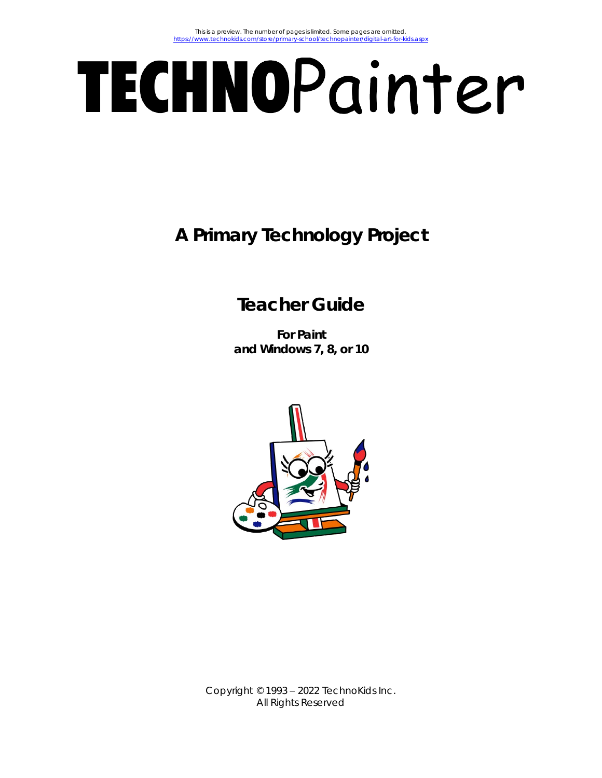# TECHNOPainter

**A Primary Technology Project**

# **Teacher Guide**

**For Paint and Windows 7, 8, or 10**



Copyright © 1993 – 2022 TechnoKids Inc. All Rights Reserved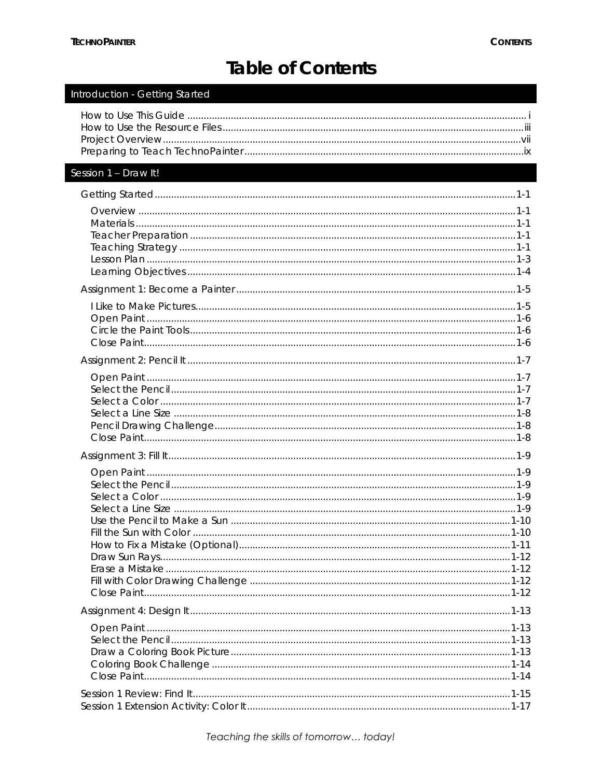$\frac{1}{1}$ 

# Table of Contents

| initiouuction - Octting starteu |  |
|---------------------------------|--|
|                                 |  |
| Session 1 - Draw It!            |  |
|                                 |  |
|                                 |  |
|                                 |  |
|                                 |  |
|                                 |  |
|                                 |  |
|                                 |  |
|                                 |  |
|                                 |  |
|                                 |  |
|                                 |  |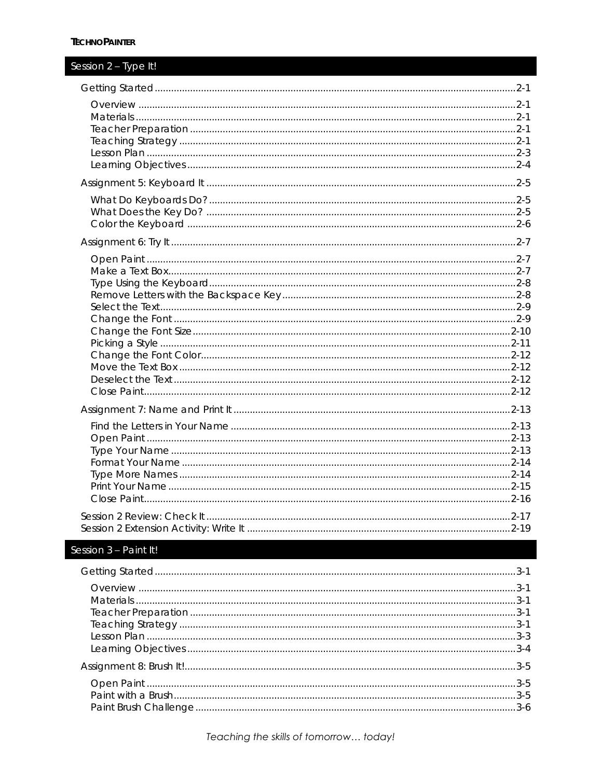## Session 2 - Type It!

| Session 3 - Paint It! |  |
|-----------------------|--|
|                       |  |
|                       |  |
|                       |  |
|                       |  |
|                       |  |
|                       |  |
|                       |  |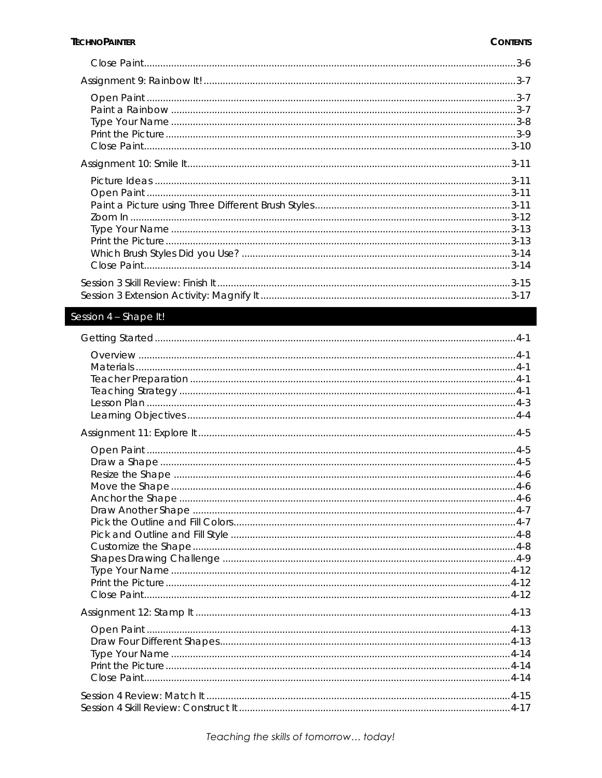## Session 4 - Shape It!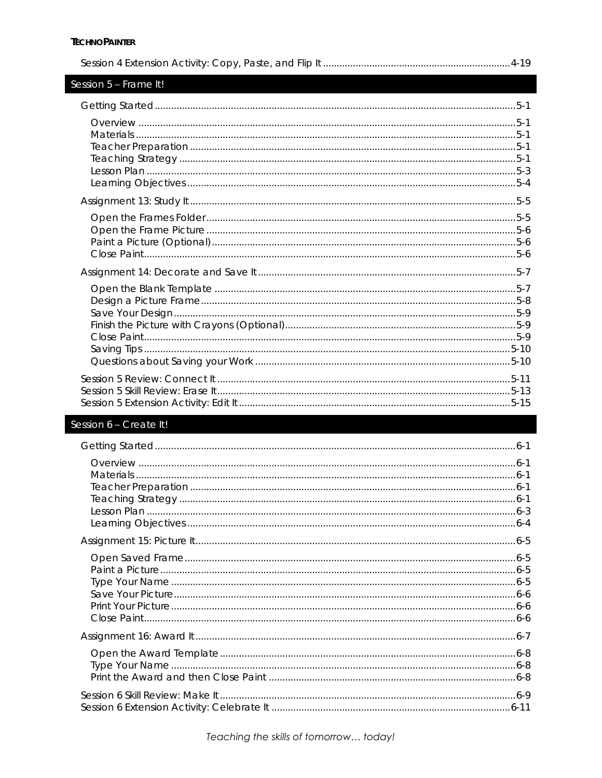| Session 5 - Frame It! |
|-----------------------|
|                       |
|                       |
|                       |
|                       |
|                       |
|                       |
|                       |

# Session  $6$  – Create It!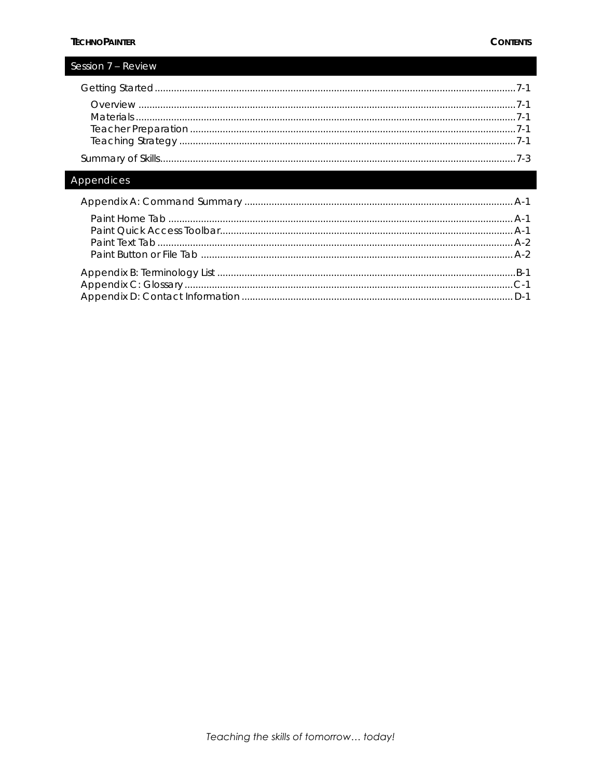I

| Session / – keview |  |
|--------------------|--|
|                    |  |
|                    |  |
|                    |  |
|                    |  |
|                    |  |
|                    |  |
| Annendices         |  |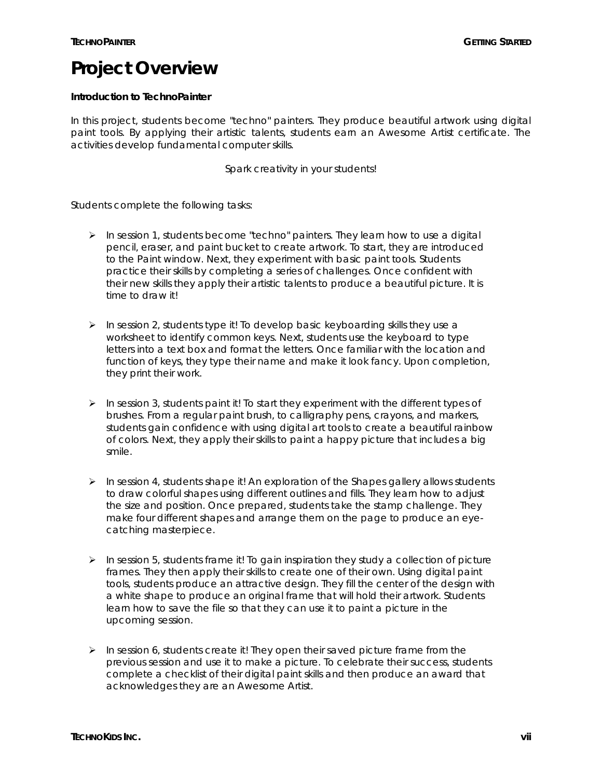# **Project Overview**

**Introduction to TechnoPainter**

In this project, students become "techno" painters. They produce beautiful artwork using digital paint tools. By applying their artistic talents, students earn an *Awesome Artist* certificate. The activities develop fundamental computer skills.

*Spark creativity in your students!*

Students complete the following tasks:

- $\triangleright$  In session 1, students become "techno" painters. They learn how to use a digital pencil, eraser, and paint bucket to create artwork. To start, they are introduced to the Paint window. Next, they experiment with basic paint tools. Students practice their skills by completing a series of challenges. Once confident with their new skills they apply their artistic talents to produce a beautiful picture. It is time to draw it!
- $\triangleright$  In session 2, students type it! To develop basic keyboarding skills they use a worksheet to identify common keys. Next, students use the keyboard to type letters into a text box and format the letters. Once familiar with the location and function of keys, they type their name and make it look fancy. Upon completion, they print their work.
- $\triangleright$  In session 3, students paint it! To start they experiment with the different types of brushes. From a regular paint brush, to calligraphy pens, crayons, and markers, students gain confidence with using digital art tools to create a beautiful rainbow of colors. Next, they apply their skills to paint a happy picture that includes a big smile.
- $\triangleright$  In session 4, students shape it! An exploration of the Shapes gallery allows students to draw colorful shapes using different outlines and fills. They learn how to adjust the size and position. Once prepared, students take the stamp challenge. They make four different shapes and arrange them on the page to produce an eyecatching masterpiece.
- $\triangleright$  In session 5, students frame it! To gain inspiration they study a collection of picture frames. They then apply their skills to create one of their own. Using digital paint tools, students produce an attractive design. They fill the center of the design with a white shape to produce an original frame that will hold their artwork. Students learn how to save the file so that they can use it to paint a picture in the upcoming session.
- $\triangleright$  In session 6, students create it! They open their saved picture frame from the previous session and use it to make a picture. To celebrate their success, students complete a checklist of their digital paint skills and then produce an award that acknowledges they are an *Awesome Artist*.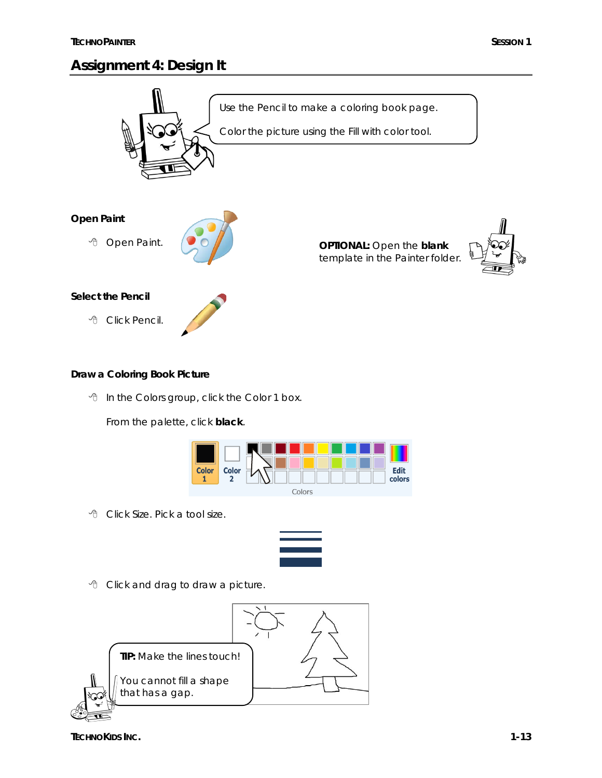# **Assignment 4: Design It**



**Draw a Coloring Book Picture**

In the Colors group, click the *Color 1* box.

From the palette, click **black**.



Click *Size*. Pick a tool size.



Click and drag to draw a picture.



**TECHNOKIDS INC. 1-13**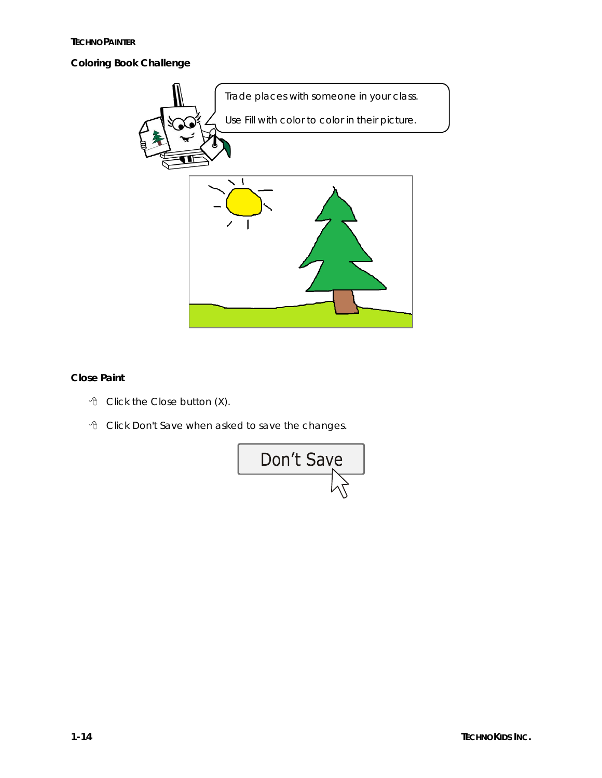**TECHNOPAINTER**

**Coloring Book Challenge**



**Close Paint**

- Click the *Close* button (X).
- Click *Don't Save* when asked to save the changes.

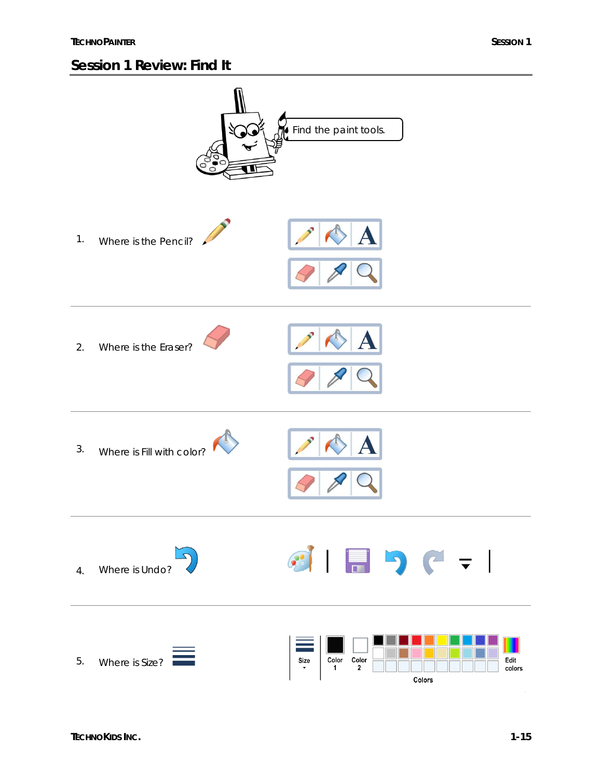## **Session 1 Review: Find It**

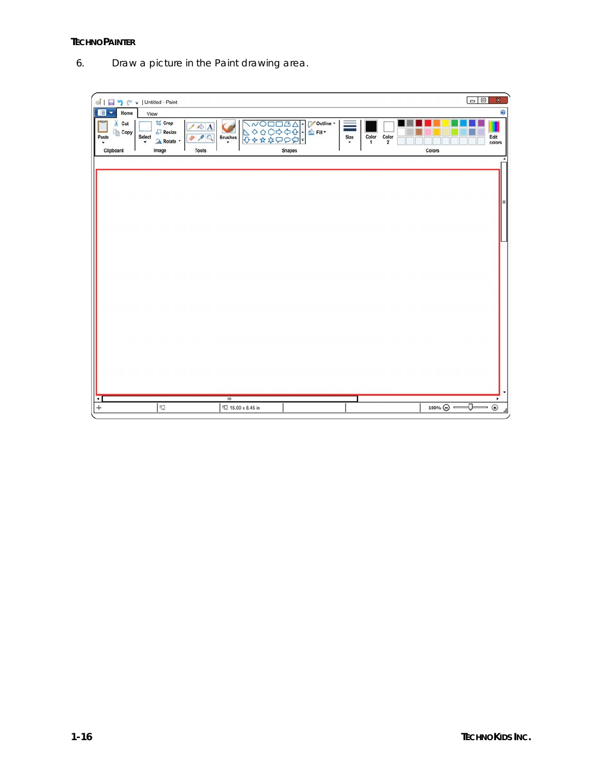6. Draw a picture in the Paint drawing area.

| 引日り ( =   Untitled - Paint<br>E<br>Home<br>$\overline{\phantom{a}}$ | View                                                                  |                                                                                     |                                                                  |                                                  |                                | $\Box$<br>$\mathbb X$<br>ø                                                                                                                                                                                                                                                                                                                        |
|---------------------------------------------------------------------|-----------------------------------------------------------------------|-------------------------------------------------------------------------------------|------------------------------------------------------------------|--------------------------------------------------|--------------------------------|---------------------------------------------------------------------------------------------------------------------------------------------------------------------------------------------------------------------------------------------------------------------------------------------------------------------------------------------------|
| $\chi$ Cut<br><b>Copy</b><br>Paste<br>Clipboard                     | <b>区</b> Crop<br>Resize<br>Select<br>A Rotate *<br>$\bullet$<br>Image | $\mathbb{Z} \otimes \mathbf{A}$<br>98Q<br><b>Brushes</b><br>$\cdot$<br><b>Tools</b> | ///O□□△△!▽outline、<br>△◇○○☆☆☆!▲Fill、<br>◆☆☆☆○○☆<br><b>Shapes</b> | ≡<br>Color<br>Size<br>$\mathbf{1}$<br>$\check{}$ | Color<br>$\mathbf 2$<br>Colors | Edit<br>colors                                                                                                                                                                                                                                                                                                                                    |
|                                                                     |                                                                       |                                                                                     |                                                                  |                                                  |                                |                                                                                                                                                                                                                                                                                                                                                   |
|                                                                     |                                                                       |                                                                                     |                                                                  |                                                  |                                |                                                                                                                                                                                                                                                                                                                                                   |
|                                                                     |                                                                       |                                                                                     |                                                                  |                                                  |                                |                                                                                                                                                                                                                                                                                                                                                   |
|                                                                     |                                                                       |                                                                                     |                                                                  |                                                  |                                |                                                                                                                                                                                                                                                                                                                                                   |
|                                                                     |                                                                       |                                                                                     |                                                                  |                                                  |                                |                                                                                                                                                                                                                                                                                                                                                   |
|                                                                     |                                                                       |                                                                                     |                                                                  |                                                  |                                |                                                                                                                                                                                                                                                                                                                                                   |
|                                                                     |                                                                       |                                                                                     |                                                                  |                                                  |                                |                                                                                                                                                                                                                                                                                                                                                   |
| ◂<br>$\div$                                                         | 壇                                                                     | $\mathbf{m}$<br>IQ 16.00 x 8.45 in                                                  |                                                                  |                                                  |                                | ٠<br>$\begin{picture}(100,10) \put(0,0){\line(1,0){100}} \put(10,0){\line(1,0){100}} \put(10,0){\line(1,0){100}} \put(10,0){\line(1,0){100}} \put(10,0){\line(1,0){100}} \put(10,0){\line(1,0){100}} \put(10,0){\line(1,0){100}} \put(10,0){\line(1,0){100}} \put(10,0){\line(1,0){100}} \put(10,0){\line(1,0){100}} \put(10,0){\line(1,0){100}}$ |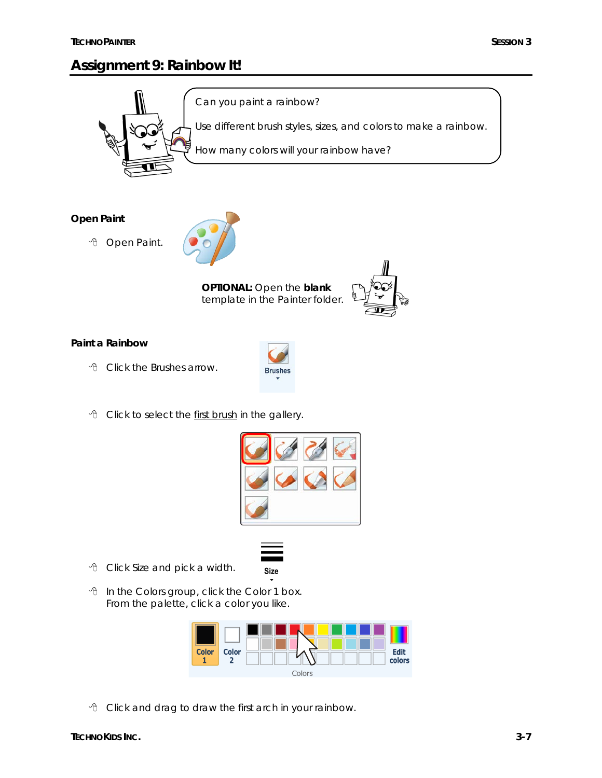# **Assignment 9: Rainbow It!**



**Open Paint**

<sup></sub>①</sup> Open Paint.



**OPTIONAL:** Open the **blank** template in the Painter folder.

**Brushes** 



**Paint a Rainbow**

Click the *Brushes* arrow.







 In the Colors group, click the *Color 1* box. From the palette, click a color you like.



**Size** 

Click and drag to draw the first arch in your rainbow.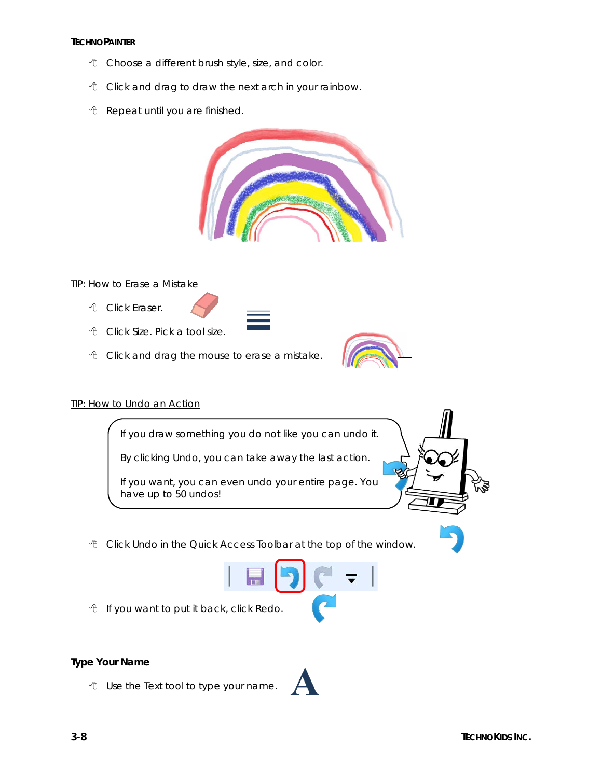#### **TECHNOPAINTER**

- Choose a different brush style, size, and color.
- Click and drag to draw the next arch in your rainbow.
- *A* Repeat until you are finished.



#### TIP: How to Erase a Mistake

- Click *Eraser*.
- Click *Size*. Pick a tool size.
- Click and drag the mouse to erase a mistake.

#### TIP: How to Undo an Action

If you draw something you do not like you can undo it.

By clicking *Undo*, you can take away the *last* action.

If you want, you can even undo your entire page. You have up to 50 undos!

Click *Undo* in the Quick Access Toolbar at the top of the window.



*A* If you want to put it back, click Redo.

**Type Your Name**

Use the *Text* tool to type your name.

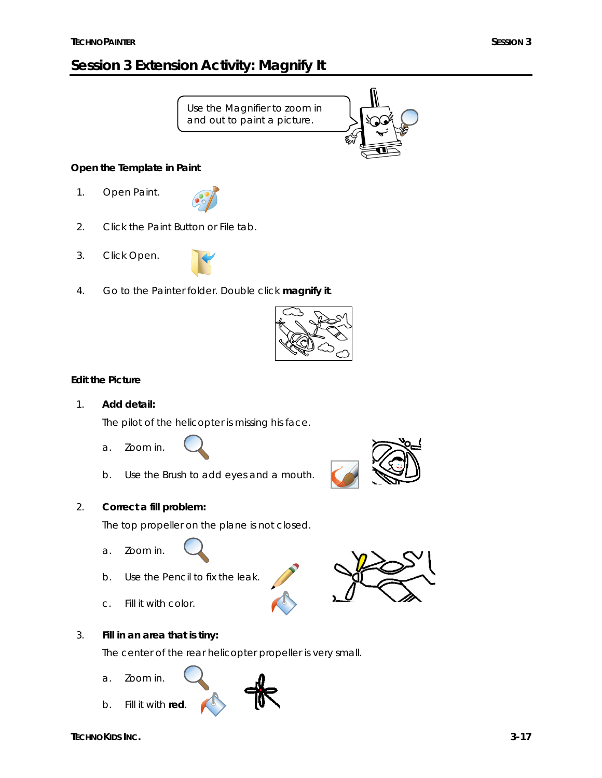# **Session 3 Extension Activity: Magnify It**



**Open the Template in Paint**

- 1. Open Paint.
- 2. Click the *Paint Button* or File tab.
- 3. Click *Open*.



4. Go to the Painter folder. Double click **magnify it**.



#### **Edit the Picture**

1. **Add detail:**

The pilot of the helicopter is missing his face.

- a. Zoom in.
- b. Use the *Brush* to add eyes and a mouth.
- 2. **Correct a fill problem:**

The top propeller on the plane is not closed.

- a. Zoom in.
- b. Use the *Pencil* to fix the leak.
- c. Fill it with color.
- 3. **Fill in an area that is tiny:**

The center of the rear helicopter propeller is very small.

a. Zoom in.



b. Fill it with **red**.

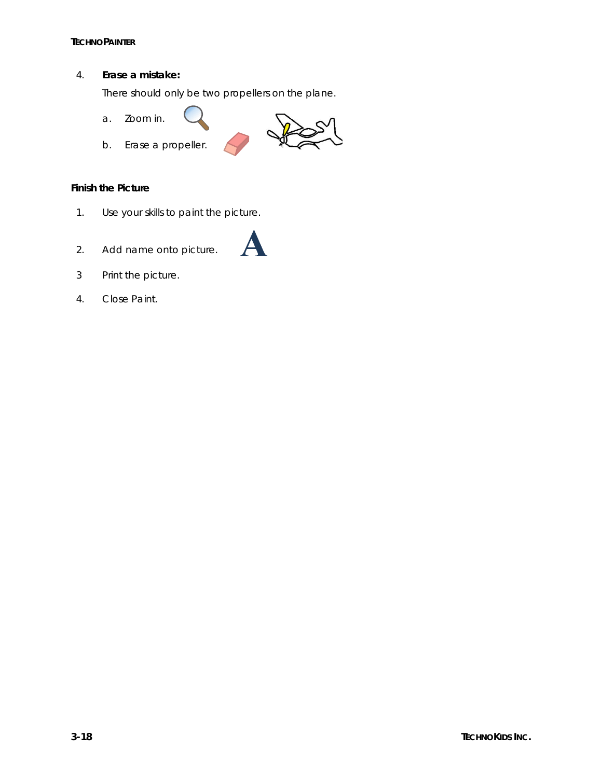4. **Erase a mistake:**

There should only be two propellers on the plane.

- a. Zoom in.
- b. Erase a propeller.



**Finish the Picture**

- 1. Use your skills to paint the picture.
- 2. Add name onto picture.



4. Close Paint.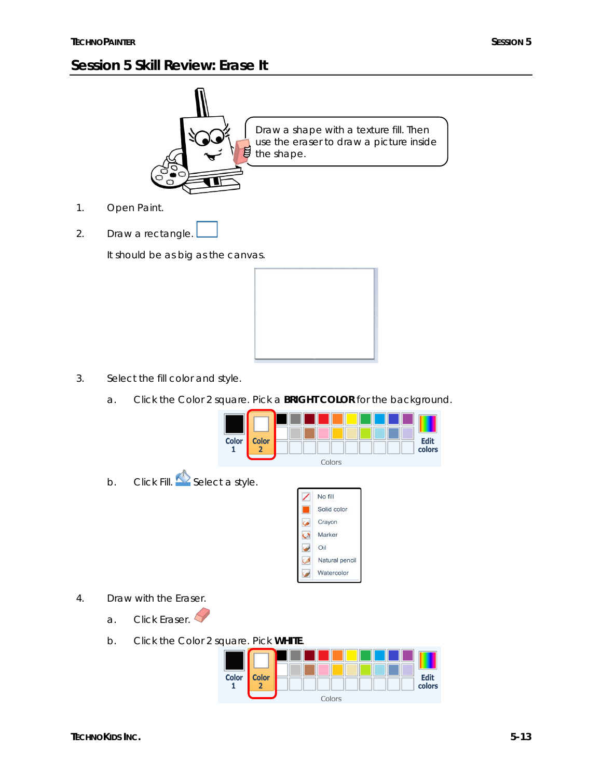# **Session 5 Skill Review: Erase It**



2. Draw a rectangle.

It should be as big as the canvas.



- 3. Select the fill color and style.
	- a. Click the *Color 2* square. Pick a **BRIGHT COLOR** for the background.



Oil Natural pencil Watercolor

- 4. Draw with the *Eraser*.
	- a. Click *Eraser*.
	- b. Click the *Color 2* square. Pick **WHITE**.

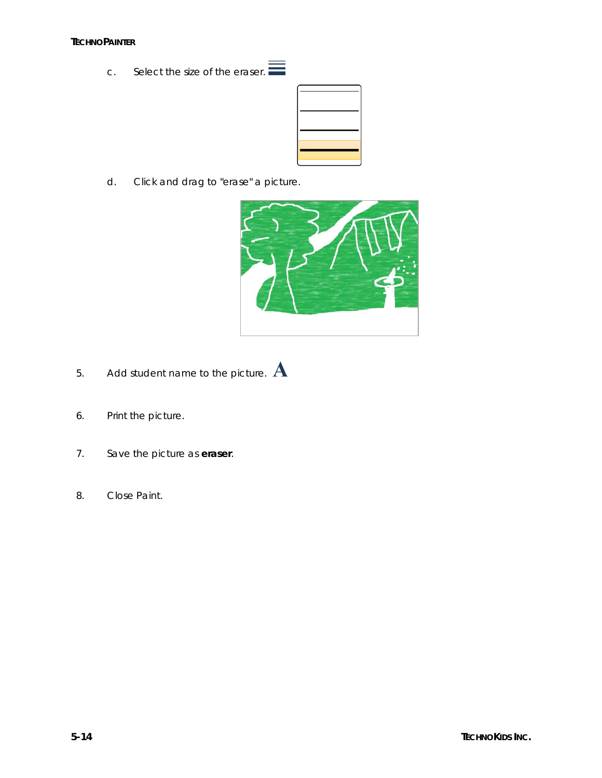c. Select the size of the eraser.  $\equiv$ 



d. Click and drag to "erase" a picture.



- 5. Add student name to the picture.  $\bf A$
- 6. Print the picture.
- 7. Save the picture as **eraser**.
- 8. Close Paint.